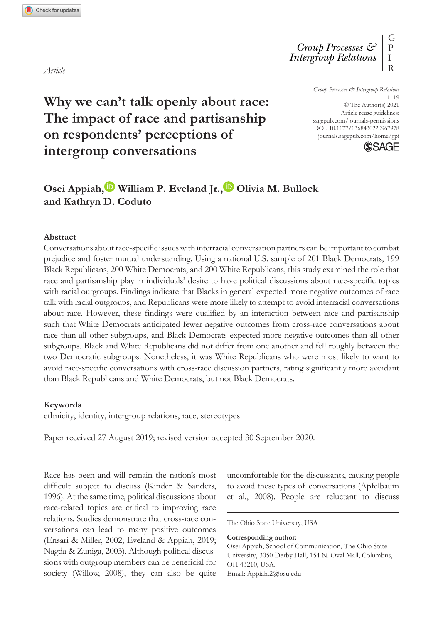DOI: 10.1177/1368430220967978 *Group Processes & Intergroup Relations* 1–19 © The Author(s) 2021 Article reuse guidelines: [sagepub.com/journals-permissions](https://uk.sagepub.com/en-gb/journals-permissions)

[journals.sagepub.com/home/gpi](https://journals.sagepub.com/home/gpi)

**SAGE** 

# **Why we can't talk openly about race: The impact of race and partisanship on respondents' perceptions of intergroup conversations**

## Osei Appiah,<sup>1</sup> William P. Eveland Jr.,<sup>1</sup> Olivia M. Bullock **and Kathryn D. Coduto**

#### **Abstract**

Conversations about race-specific issues with interracial conversation partners can be important to combat prejudice and foster mutual understanding. Using a national U.S. sample of 201 Black Democrats, 199 Black Republicans, 200 White Democrats, and 200 White Republicans, this study examined the role that race and partisanship play in individuals' desire to have political discussions about race-specific topics with racial outgroups. Findings indicate that Blacks in general expected more negative outcomes of race talk with racial outgroups, and Republicans were more likely to attempt to avoid interracial conversations about race. However, these findings were qualified by an interaction between race and partisanship such that White Democrats anticipated fewer negative outcomes from cross-race conversations about race than all other subgroups, and Black Democrats expected more negative outcomes than all other subgroups. Black and White Republicans did not differ from one another and fell roughly between the two Democratic subgroups. Nonetheless, it was White Republicans who were most likely to want to avoid race-specific conversations with cross-race discussion partners, rating significantly more avoidant than Black Republicans and White Democrats, but not Black Democrats.

#### **Keywords**

ethnicity, identity, intergroup relations, race, stereotypes

Paper received 27 August 2019; revised version accepted 30 September 2020.

Race has been and will remain the nation's most difficult subject to discuss (Kinder & Sanders, 1996). At the same time, political discussions about race-related topics are critical to improving race relations. Studies demonstrate that cross-race conversations can lead to many positive outcomes (Ensari & Miller, 2002; Eveland & Appiah, 2019; Nagda & Zuniga, 2003). Although political discussions with outgroup members can be beneficial for society (Willow, 2008), they can also be quite uncomfortable for the discussants, causing people to avoid these types of conversations (Apfelbaum et al., 2008). People are reluctant to discuss

The Ohio State University, USA

#### **Corresponding author:**

Osei Appiah, School of Communication, The Ohio State University, 3050 Derby Hall, 154 N. Oval Mall, Columbus, OH 43210, USA. Email: [Appiah.2@osu.edu](mailto:Appiah.2@osu.edu)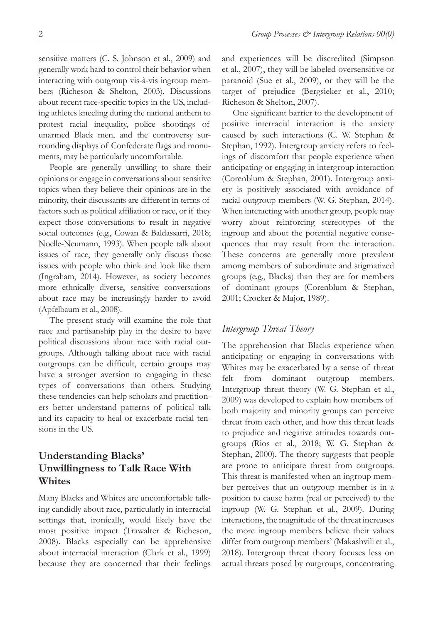sensitive matters (C. S. Johnson et al., 2009) and generally work hard to control their behavior when interacting with outgroup vis-à-vis ingroup members (Richeson & Shelton, 2003). Discussions about recent race-specific topics in the US, including athletes kneeling during the national anthem to protest racial inequality, police shootings of unarmed Black men, and the controversy surrounding displays of Confederate flags and monuments, may be particularly uncomfortable.

People are generally unwilling to share their opinions or engage in conversations about sensitive topics when they believe their opinions are in the minority, their discussants are different in terms of factors such as political affiliation or race, or if they expect those conversations to result in negative social outcomes (e.g., Cowan & Baldassarri, 2018; Noelle-Neumann, 1993). When people talk about issues of race, they generally only discuss those issues with people who think and look like them (Ingraham, 2014). However, as society becomes more ethnically diverse, sensitive conversations about race may be increasingly harder to avoid (Apfelbaum et al., 2008).

The present study will examine the role that race and partisanship play in the desire to have political discussions about race with racial outgroups. Although talking about race with racial outgroups can be difficult, certain groups may have a stronger aversion to engaging in these types of conversations than others. Studying these tendencies can help scholars and practitioners better understand patterns of political talk and its capacity to heal or exacerbate racial tensions in the US.

## **Understanding Blacks' Unwillingness to Talk Race With Whites**

Many Blacks and Whites are uncomfortable talking candidly about race, particularly in interracial settings that, ironically, would likely have the most positive impact (Trawalter & Richeson, 2008). Blacks especially can be apprehensive about interracial interaction (Clark et al., 1999) because they are concerned that their feelings and experiences will be discredited (Simpson et al., 2007), they will be labeled oversensitive or paranoid (Sue et al., 2009), or they will be the target of prejudice (Bergsieker et al., 2010; Richeson & Shelton, 2007).

One significant barrier to the development of positive interracial interaction is the anxiety caused by such interactions (C. W. Stephan & Stephan, 1992). Intergroup anxiety refers to feelings of discomfort that people experience when anticipating or engaging in intergroup interaction (Corenblum & Stephan, 2001). Intergroup anxiety is positively associated with avoidance of racial outgroup members (W. G. Stephan, 2014). When interacting with another group, people may worry about reinforcing stereotypes of the ingroup and about the potential negative consequences that may result from the interaction. These concerns are generally more prevalent among members of subordinate and stigmatized groups (e.g., Blacks) than they are for members of dominant groups (Corenblum & Stephan, 2001; Crocker & Major, 1989).

## *Intergroup Threat Theory*

The apprehension that Blacks experience when anticipating or engaging in conversations with Whites may be exacerbated by a sense of threat felt from dominant outgroup members. Intergroup threat theory (W. G. Stephan et al., 2009) was developed to explain how members of both majority and minority groups can perceive threat from each other, and how this threat leads to prejudice and negative attitudes towards outgroups (Rios et al., 2018; W. G. Stephan & Stephan, 2000). The theory suggests that people are prone to anticipate threat from outgroups. This threat is manifested when an ingroup member perceives that an outgroup member is in a position to cause harm (real or perceived) to the ingroup (W. G. Stephan et al., 2009). During interactions, the magnitude of the threat increases the more ingroup members believe their values differ from outgroup members' (Makashvili et al., 2018). Intergroup threat theory focuses less on actual threats posed by outgroups, concentrating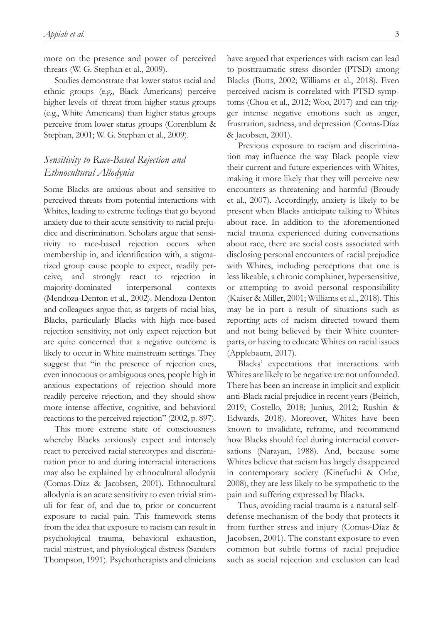more on the presence and power of perceived threats (W. G. Stephan et al., 2009).

Studies demonstrate that lower status racial and ethnic groups (e.g., Black Americans) perceive higher levels of threat from higher status groups (e.g., White Americans) than higher status groups perceive from lower status groups (Corenblum & Stephan, 2001; W. G. Stephan et al., 2009).

## *Sensitivity to Race-Based Rejection and Ethnocultural Allodynia*

Some Blacks are anxious about and sensitive to perceived threats from potential interactions with Whites, leading to extreme feelings that go beyond anxiety due to their acute sensitivity to racial prejudice and discrimination. Scholars argue that sensitivity to race-based rejection occurs when membership in, and identification with, a stigmatized group cause people to expect, readily perceive, and strongly react to rejection in majority-dominated interpersonal contexts (Mendoza-Denton et al., 2002). Mendoza-Denton and colleagues argue that, as targets of racial bias, Blacks, particularly Blacks with high race-based rejection sensitivity, not only expect rejection but are quite concerned that a negative outcome is likely to occur in White mainstream settings. They suggest that "in the presence of rejection cues, even innocuous or ambiguous ones, people high in anxious expectations of rejection should more readily perceive rejection, and they should show more intense affective, cognitive, and behavioral reactions to the perceived rejection" (2002, p. 897).

This more extreme state of consciousness whereby Blacks anxiously expect and intensely react to perceived racial stereotypes and discrimination prior to and during interracial interactions may also be explained by ethnocultural allodynia (Comas-Díaz & Jacobsen, 2001). Ethnocultural allodynia is an acute sensitivity to even trivial stimuli for fear of, and due to, prior or concurrent exposure to racial pain. This framework stems from the idea that exposure to racism can result in psychological trauma, behavioral exhaustion, racial mistrust, and physiological distress (Sanders Thompson, 1991). Psychotherapists and clinicians

have argued that experiences with racism can lead to posttraumatic stress disorder (PTSD) among Blacks (Butts, 2002; Williams et al., 2018). Even perceived racism is correlated with PTSD symptoms (Chou et al., 2012; Woo, 2017) and can trigger intense negative emotions such as anger, frustration, sadness, and depression (Comas-Díaz & Jacobsen, 2001).

Previous exposure to racism and discrimination may influence the way Black people view their current and future experiences with Whites, making it more likely that they will perceive new encounters as threatening and harmful (Broudy et al., 2007). Accordingly, anxiety is likely to be present when Blacks anticipate talking to Whites about race. In addition to the aforementioned racial trauma experienced during conversations about race, there are social costs associated with disclosing personal encounters of racial prejudice with Whites, including perceptions that one is less likeable, a chronic complainer, hypersensitive, or attempting to avoid personal responsibility (Kaiser & Miller, 2001; Williams et al., 2018). This may be in part a result of situations such as reporting acts of racism directed toward them and not being believed by their White counterparts, or having to educate Whites on racial issues (Applebaum, 2017).

Blacks' expectations that interactions with Whites are likely to be negative are not unfounded. There has been an increase in implicit and explicit anti-Black racial prejudice in recent years (Beirich, 2019; Costello, 2018; Junius, 2012; Rushin & Edwards, 2018). Moreover, Whites have been known to invalidate, reframe, and recommend how Blacks should feel during interracial conversations (Narayan, 1988). And, because some Whites believe that racism has largely disappeared in contemporary society (Kinefuchi & Orbe, 2008), they are less likely to be sympathetic to the pain and suffering expressed by Blacks.

Thus, avoiding racial trauma is a natural selfdefense mechanism of the body that protects it from further stress and injury (Comas-Díaz & Jacobsen, 2001). The constant exposure to even common but subtle forms of racial prejudice such as social rejection and exclusion can lead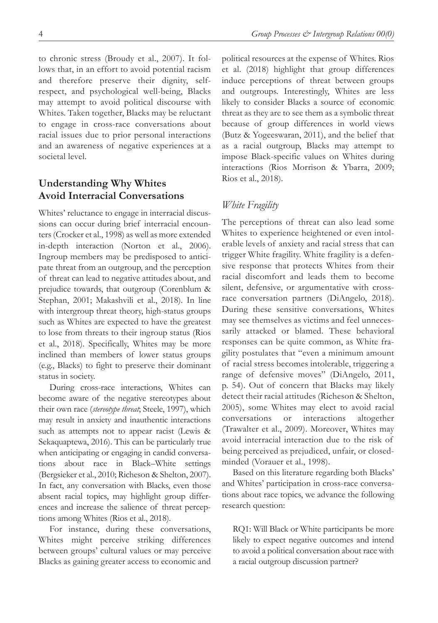to chronic stress (Broudy et al., 2007). It follows that, in an effort to avoid potential racism and therefore preserve their dignity, selfrespect, and psychological well-being, Blacks may attempt to avoid political discourse with Whites. Taken together, Blacks may be reluctant to engage in cross-race conversations about racial issues due to prior personal interactions and an awareness of negative experiences at a societal level.

## **Understanding Why Whites Avoid Interracial Conversations**

Whites' reluctance to engage in interracial discussions can occur during brief interracial encounters (Crocker et al., 1998) as well as more extended in-depth interaction (Norton et al., 2006). Ingroup members may be predisposed to anticipate threat from an outgroup, and the perception of threat can lead to negative attitudes about, and prejudice towards, that outgroup (Corenblum & Stephan, 2001; Makashvili et al., 2018). In line with intergroup threat theory, high-status groups such as Whites are expected to have the greatest to lose from threats to their ingroup status (Rios et al., 2018). Specifically, Whites may be more inclined than members of lower status groups (e.g., Blacks) to fight to preserve their dominant status in society.

During cross-race interactions, Whites can become aware of the negative stereotypes about their own race (*stereotype threat*; Steele, 1997), which may result in anxiety and inauthentic interactions such as attempts not to appear racist (Lewis & Sekaquaptewa, 2016). This can be particularly true when anticipating or engaging in candid conversations about race in Black–White settings (Bergsieker et al., 2010; Richeson & Shelton, 2007). In fact, any conversation with Blacks, even those absent racial topics, may highlight group differences and increase the salience of threat perceptions among Whites (Rios et al., 2018).

For instance, during these conversations, Whites might perceive striking differences between groups' cultural values or may perceive Blacks as gaining greater access to economic and

political resources at the expense of Whites. Rios et al. (2018) highlight that group differences induce perceptions of threat between groups and outgroups. Interestingly, Whites are less likely to consider Blacks a source of economic threat as they are to see them as a symbolic threat because of group differences in world views (Butz & Yogeeswaran, 2011), and the belief that as a racial outgroup, Blacks may attempt to impose Black-specific values on Whites during interactions (Rios Morrison & Ybarra, 2009; Rios et al., 2018).

## *White Fragility*

The perceptions of threat can also lead some Whites to experience heightened or even intolerable levels of anxiety and racial stress that can trigger White fragility. White fragility is a defensive response that protects Whites from their racial discomfort and leads them to become silent, defensive, or argumentative with crossrace conversation partners (DiAngelo, 2018). During these sensitive conversations, Whites may see themselves as victims and feel unnecessarily attacked or blamed. These behavioral responses can be quite common, as White fragility postulates that "even a minimum amount of racial stress becomes intolerable, triggering a range of defensive moves" (DiAngelo, 2011, p. 54). Out of concern that Blacks may likely detect their racial attitudes (Richeson & Shelton, 2005), some Whites may elect to avoid racial conversations or interactions altogether (Trawalter et al., 2009). Moreover, Whites may avoid interracial interaction due to the risk of being perceived as prejudiced, unfair, or closedminded (Vorauer et al., 1998).

Based on this literature regarding both Blacks' and Whites' participation in cross-race conversations about race topics, we advance the following research question:

RQ1: Will Black or White participants be more likely to expect negative outcomes and intend to avoid a political conversation about race with a racial outgroup discussion partner?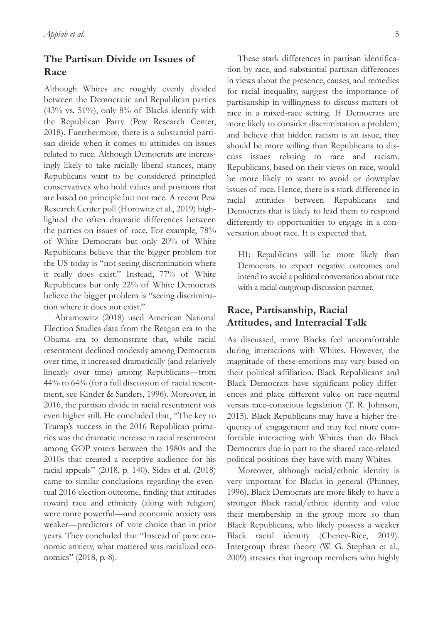## **The Partisan Divide on Issues of Race**

Although Whites are roughly evenly divided between the Democratic and Republican parties  $(43\%$  vs. 51%), only 8% of Blacks identify with the Republican Party (Pew Research Center, 2018). Fuerthermore, there is a substantial partisan divide when it comes to attitudes on issues related to race. Although Democrats are increasingly likely to take racially liberal stances, many Republicans want to be considered principled conservatives who hold values and positions that are based on principle but not race. A recent Pew Research Center poll (Horowitz et al., 2019) highlighted the often dramatic differences between the parties on issues of race. For example, 78% of White Democrats but only 20% of White Republicans believe that the bigger problem for the US today is "not seeing discrimination where it really does exist." Instead, 77% of White Republicans but only 22% of White Democrats believe the bigger problem is "seeing discrimination where it does not exist."

Abramowitz (2018) used American National Election Studies data from the Reagan era to the Obama era to demonstrate that, while racial resentment declined modestly among Democrats over time, it increased dramatically (and relatively linearly over time) among Republicans—from 44% to 64% (for a full discussion of racial resentment, see Kinder & Sanders, 1996). Moreover, in 2016, the partisan divide in racial resentment was even higher still. He concluded that, "The key to Trump's success in the 2016 Republican primaries was the dramatic increase in racial resentment among GOP voters between the 1980s and the 2010s that created a receptive audience for his racial appeals" (2018, p. 140). Sides et al. (2018) came to similar conclusions regarding the eventual 2016 election outcome, finding that attitudes toward race and ethnicity (along with religion) were more powerful—and economic anxiety was weaker—predictors of vote choice than in prior years. They concluded that "Instead of pure economic anxiety, what mattered was racialized economics" (2018, p. 8).

These stark differences in partisan identification by race, and substantial partisan differences in views about the presence, causes, and remedies for racial inequality, suggest the importance of partisanship in willingness to discuss matters of race in a mixed-race setting. If Democrats are more likely to consider discrimination a problem, and believe that hidden racism is an issue, they should be more willing than Republicans to discuss issues relating to race and racism. Republicans, based on their views on race, would be more likely to want to avoid or downplay issues of race. Hence, there is a stark difference in racial attitudes between Republicans and Democrats that is likely to lead them to respond differently to opportunities to engage in a conversation about race. It is expected that,

H1: Republicans will be more likely than Democrats to expect negative outcomes and intend to avoid a political conversation about race with a racial outgroup discussion partner.

## **Race, Partisanship, Racial Attitudes, and Interracial Talk**

As discussed, many Blacks feel uncomfortable during interactions with Whites. However, the magnitude of these emotions may vary based on their political affiliation. Black Republicans and Black Democrats have significant policy differences and place different value on race-neutral versus race-conscious legislation (T. R. Johnson, 2015). Black Republicans may have a higher frequency of engagement and may feel more comfortable interacting with Whites than do Black Democrats due in part to the shared race-related political positions they have with many Whites.

Moreover, although racial/ethnic identity is very important for Blacks in general (Phinney, 1996), Black Democrats are more likely to have a stronger Black racial/ethnic identity and value their membership in the group more so than Black Republicans, who likely possess a weaker Black racial identity (Cheney-Rice, 2019). Intergroup threat theory (W. G. Stephan et al., 2009) stresses that ingroup members who highly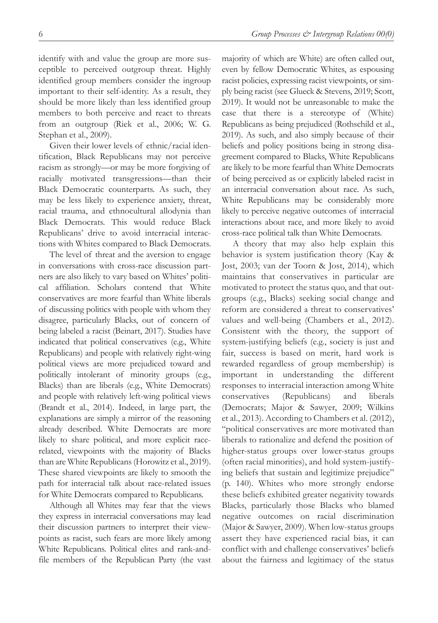identify with and value the group are more susceptible to perceived outgroup threat. Highly identified group members consider the ingroup important to their self-identity. As a result, they should be more likely than less identified group members to both perceive and react to threats from an outgroup (Riek et al., 2006; W. G. Stephan et al., 2009).

Given their lower levels of ethnic/racial identification, Black Republicans may not perceive racism as strongly—or may be more forgiving of racially motivated transgressions—than their Black Democratic counterparts. As such, they may be less likely to experience anxiety, threat, racial trauma, and ethnocultural allodynia than Black Democrats. This would reduce Black Republicans' drive to avoid interracial interactions with Whites compared to Black Democrats.

The level of threat and the aversion to engage in conversations with cross-race discussion partners are also likely to vary based on Whites' political affiliation. Scholars contend that White conservatives are more fearful than White liberals of discussing politics with people with whom they disagree, particularly Blacks, out of concern of being labeled a racist (Beinart, 2017). Studies have indicated that political conservatives (e.g., White Republicans) and people with relatively right-wing political views are more prejudiced toward and politically intolerant of minority groups (e.g., Blacks) than are liberals (e.g., White Democrats) and people with relatively left-wing political views (Brandt et al., 2014). Indeed, in large part, the explanations are simply a mirror of the reasoning already described. White Democrats are more likely to share political, and more explicit racerelated, viewpoints with the majority of Blacks than are White Republicans (Horowitz et al., 2019). These shared viewpoints are likely to smooth the path for interracial talk about race-related issues for White Democrats compared to Republicans.

Although all Whites may fear that the views they express in interracial conversations may lead their discussion partners to interpret their viewpoints as racist, such fears are more likely among White Republicans. Political elites and rank-andfile members of the Republican Party (the vast majority of which are White) are often called out, even by fellow Democratic Whites, as espousing racist policies, expressing racist viewpoints, or simply being racist (see Glueck & Stevens, 2019; Scott, 2019). It would not be unreasonable to make the case that there is a stereotype of (White) Republicans as being prejudiced (Rothschild et al., 2019). As such, and also simply because of their beliefs and policy positions being in strong disagreement compared to Blacks, White Republicans are likely to be more fearful than White Democrats of being perceived as or explicitly labeled racist in an interracial conversation about race. As such, White Republicans may be considerably more likely to perceive negative outcomes of interracial interactions about race, and more likely to avoid cross-race political talk than White Democrats.

A theory that may also help explain this behavior is system justification theory (Kay & Jost, 2003; van der Toorn & Jost, 2014), which maintains that conservatives in particular are motivated to protect the status quo, and that outgroups (e.g., Blacks) seeking social change and reform are considered a threat to conservatives' values and well-being (Chambers et al., 2012). Consistent with the theory, the support of system-justifying beliefs (e.g., society is just and fair, success is based on merit, hard work is rewarded regardless of group membership) is important in understanding the different responses to interracial interaction among White conservatives (Republicans) and liberals (Democrats; Major & Sawyer, 2009; Wilkins et al., 2013). According to Chambers et al. (2012), "political conservatives are more motivated than liberals to rationalize and defend the position of higher-status groups over lower-status groups (often racial minorities), and hold system-justifying beliefs that sustain and legitimize prejudice" (p. 140). Whites who more strongly endorse these beliefs exhibited greater negativity towards Blacks, particularly those Blacks who blamed negative outcomes on racial discrimination (Major & Sawyer, 2009). When low-status groups assert they have experienced racial bias, it can conflict with and challenge conservatives' beliefs about the fairness and legitimacy of the status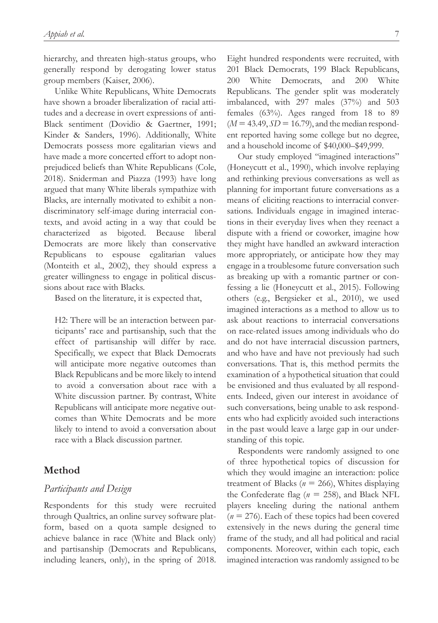hierarchy, and threaten high-status groups, who generally respond by derogating lower status group members (Kaiser, 2006).

Unlike White Republicans, White Democrats have shown a broader liberalization of racial attitudes and a decrease in overt expressions of anti-Black sentiment (Dovidio & Gaertner, 1991; Kinder & Sanders, 1996). Additionally, White Democrats possess more egalitarian views and have made a more concerted effort to adopt nonprejudiced beliefs than White Republicans (Cole, 2018). Sniderman and Piazza (1993) have long argued that many White liberals sympathize with Blacks, are internally motivated to exhibit a nondiscriminatory self-image during interracial contexts, and avoid acting in a way that could be characterized as bigoted. Because liberal Democrats are more likely than conservative Republicans to espouse egalitarian values (Monteith et al., 2002), they should express a greater willingness to engage in political discussions about race with Blacks.

Based on the literature, it is expected that,

H2: There will be an interaction between participants' race and partisanship, such that the effect of partisanship will differ by race. Specifically, we expect that Black Democrats will anticipate more negative outcomes than Black Republicans and be more likely to intend to avoid a conversation about race with a White discussion partner. By contrast, White Republicans will anticipate more negative outcomes than White Democrats and be more likely to intend to avoid a conversation about race with a Black discussion partner.

## **Method**

### *Participants and Design*

Respondents for this study were recruited through Qualtrics, an online survey software platform, based on a quota sample designed to achieve balance in race (White and Black only) and partisanship (Democrats and Republicans, including leaners, only), in the spring of 2018.

Eight hundred respondents were recruited, with 201 Black Democrats, 199 Black Republicans, 200 White Democrats, and 200 White Republicans. The gender split was moderately imbalanced, with 297 males (37%) and 503 females (63%). Ages ranged from 18 to 89  $(M = 43.49, SD = 16.79)$ , and the median respondent reported having some college but no degree, and a household income of \$40,000–\$49,999.

Our study employed "imagined interactions" (Honeycutt et al., 1990), which involve replaying and rethinking previous conversations as well as planning for important future conversations as a means of eliciting reactions to interracial conversations. Individuals engage in imagined interactions in their everyday lives when they reenact a dispute with a friend or coworker, imagine how they might have handled an awkward interaction more appropriately, or anticipate how they may engage in a troublesome future conversation such as breaking up with a romantic partner or confessing a lie (Honeycutt et al., 2015). Following others (e.g., Bergsieker et al., 2010), we used imagined interactions as a method to allow us to ask about reactions to interracial conversations on race-related issues among individuals who do and do not have interracial discussion partners, and who have and have not previously had such conversations. That is, this method permits the examination of a hypothetical situation that could be envisioned and thus evaluated by all respondents. Indeed, given our interest in avoidance of such conversations, being unable to ask respondents who had explicitly avoided such interactions in the past would leave a large gap in our understanding of this topic.

Respondents were randomly assigned to one of three hypothetical topics of discussion for which they would imagine an interaction: police treatment of Blacks (*n* = 266), Whites displaying the Confederate flag ( $n = 258$ ), and Black NFL players kneeling during the national anthem  $(n = 276)$ . Each of these topics had been covered extensively in the news during the general time frame of the study, and all had political and racial components. Moreover, within each topic, each imagined interaction was randomly assigned to be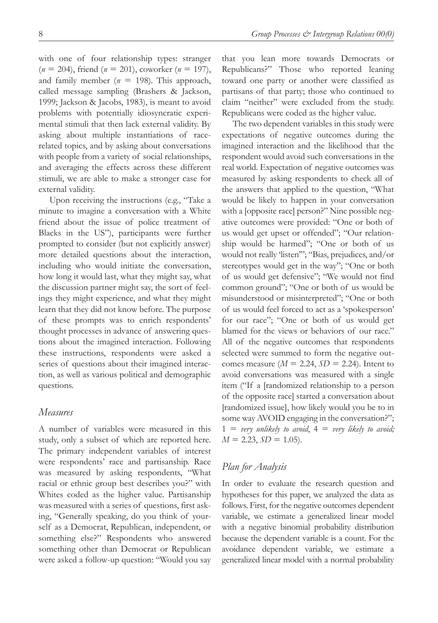with one of four relationship types: stranger (*n* = 204), friend (*n* = 201), coworker (*n* = 197), and family member  $(n = 198)$ . This approach, called message sampling (Brashers & Jackson, 1999; Jackson & Jacobs, 1983), is meant to avoid problems with potentially idiosyncratic experimental stimuli that then lack external validity. By asking about multiple instantiations of racerelated topics, and by asking about conversations with people from a variety of social relationships, and averaging the effects across these different stimuli, we are able to make a stronger case for external validity.

Upon receiving the instructions (e.g., "Take a minute to imagine a conversation with a White friend about the issue of police treatment of Blacks in the US"), participants were further prompted to consider (but not explicitly answer) more detailed questions about the interaction, including who would initiate the conversation, how long it would last, what they might say, what the discussion partner might say, the sort of feelings they might experience, and what they might learn that they did not know before. The purpose of these prompts was to enrich respondents' thought processes in advance of answering questions about the imagined interaction. Following these instructions, respondents were asked a series of questions about their imagined interaction, as well as various political and demographic questions.

#### *Measures*

A number of variables were measured in this study, only a subset of which are reported here. The primary independent variables of interest were respondents' race and partisanship. Race was measured by asking respondents, "What racial or ethnic group best describes you?" with Whites coded as the higher value. Partisanship was measured with a series of questions, first asking, "Generally speaking, do you think of yourself as a Democrat, Republican, independent, or something else?" Respondents who answered something other than Democrat or Republican were asked a follow-up question: "Would you say

that you lean more towards Democrats or Republicans?" Those who reported leaning toward one party or another were classified as partisans of that party; those who continued to claim "neither" were excluded from the study. Republicans were coded as the higher value.

The two dependent variables in this study were expectations of negative outcomes during the imagined interaction and the likelihood that the respondent would avoid such conversations in the real world. Expectation of negative outcomes was measured by asking respondents to check all of the answers that applied to the question, "What would be likely to happen in your conversation with a [opposite race] person?" Nine possible negative outcomes were provided: "One or both of us would get upset or offended"; "Our relationship would be harmed"; "One or both of us would not really 'listen'"; "Bias, prejudices, and/or stereotypes would get in the way"; "One or both of us would get defensive"; "We would not find common ground"; "One or both of us would be misunderstood or misinterpreted"; "One or both of us would feel forced to act as a 'spokesperson' for our race"; "One or both of us would get blamed for the views or behaviors of our race." All of the negative outcomes that respondents selected were summed to form the negative outcomes measure  $(M = 2.24, SD = 2.24)$ . Intent to avoid conversations was measured with a single item ("If a [randomized relationship to a person of the opposite race] started a conversation about [randomized issue], how likely would you be to in some way AVOID engaging in the conversation?";  $1 = v$ ery unlikely to avoid,  $4 = v$ ery likely to avoid;  $M = 2.23$ ,  $SD = 1.05$ ).

### *Plan for Analysis*

In order to evaluate the research question and hypotheses for this paper, we analyzed the data as follows. First, for the negative outcomes dependent variable, we estimate a generalized linear model with a negative binomial probability distribution because the dependent variable is a count. For the avoidance dependent variable, we estimate a generalized linear model with a normal probability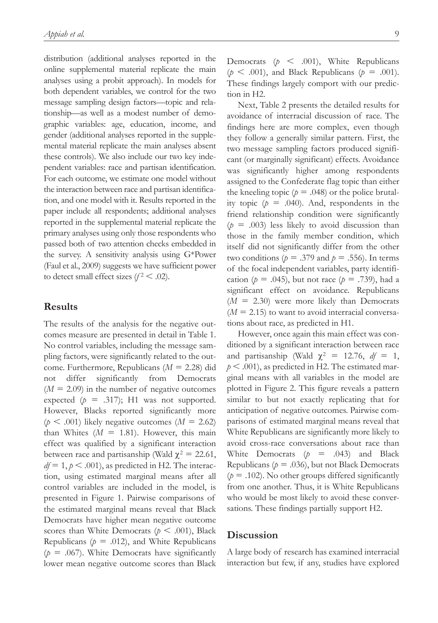distribution (additional analyses reported in the online supplemental material replicate the main analyses using a probit approach). In models for both dependent variables, we control for the two message sampling design factors—topic and relationship—as well as a modest number of demographic variables: age, education, income, and gender (additional analyses reported in the supplemental material replicate the main analyses absent these controls). We also include our two key independent variables: race and partisan identification. For each outcome, we estimate one model without the interaction between race and partisan identification, and one model with it. Results reported in the paper include all respondents; additional analyses reported in the supplemental material replicate the primary analyses using only those respondents who passed both of two attention checks embedded in the survey. A sensitivity analysis using G\*Power (Faul et al., 2009) suggests we have sufficient power to detect small effect sizes  $(f^2 < .02)$ .

### **Results**

The results of the analysis for the negative outcomes measure are presented in detail in Table 1. No control variables, including the message sampling factors, were significantly related to the outcome. Furthermore, Republicans (*M* = 2.28) did not differ significantly from Democrats  $(M = 2.09)$  in the number of negative outcomes expected  $(p = .317)$ ; H1 was not supported. However, Blacks reported significantly more  $(p \leq .001)$  likely negative outcomes  $(M = 2.62)$ than Whites  $(M = 1.81)$ . However, this main effect was qualified by a significant interaction between race and partisanship (Wald  $\chi^2 = 22.61$ ,  $df = 1, p \leq .001$ , as predicted in H2. The interaction, using estimated marginal means after all control variables are included in the model, is presented in Figure 1. Pairwise comparisons of the estimated marginal means reveal that Black Democrats have higher mean negative outcome scores than White Democrats ( $p < .001$ ), Black Republicans ( $p = .012$ ), and White Republicans  $(p = .067)$ . White Democrats have significantly lower mean negative outcome scores than Black

Democrats  $(p \leq .001)$ , White Republicans  $(p \leq .001)$ , and Black Republicans  $(p = .001)$ . These findings largely comport with our prediction in H2.

Next, Table 2 presents the detailed results for avoidance of interracial discussion of race. The findings here are more complex, even though they follow a generally similar pattern. First, the two message sampling factors produced significant (or marginally significant) effects. Avoidance was significantly higher among respondents assigned to the Confederate flag topic than either the kneeling topic ( $p = .048$ ) or the police brutality topic  $(p = .040)$ . And, respondents in the friend relationship condition were significantly  $(p = .003)$  less likely to avoid discussion than those in the family member condition, which itself did not significantly differ from the other two conditions ( $p = .379$  and  $p = .556$ ). In terms of the focal independent variables, party identification ( $p = .045$ ), but not race ( $p = .739$ ), had a significant effect on avoidance. Republicans  $(M = 2.30)$  were more likely than Democrats  $(M = 2.15)$  to want to avoid interracial conversations about race, as predicted in H1.

However, once again this main effect was conditioned by a significant interaction between race and partisanship (Wald  $\chi^2 = 12.76$ ,  $df = 1$ ,  $p < .001$ ), as predicted in H2. The estimated marginal means with all variables in the model are plotted in Figure 2. This figure reveals a pattern similar to but not exactly replicating that for anticipation of negative outcomes. Pairwise comparisons of estimated marginal means reveal that White Republicans are significantly more likely to avoid cross-race conversations about race than White Democrats  $(p = .043)$  and Black Republicans ( $p = .036$ ), but not Black Democrats  $(p = .102)$ . No other groups differed significantly from one another. Thus, it is White Republicans who would be most likely to avoid these conversations. These findings partially support H2.

### **Discussion**

A large body of research has examined interracial interaction but few, if any, studies have explored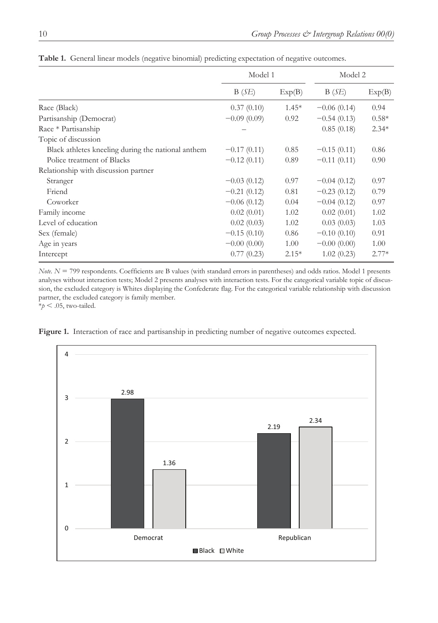|                                                    | Model 1       |         | Model 2       |         |
|----------------------------------------------------|---------------|---------|---------------|---------|
|                                                    | B(SE)         | Exp(B)  | B(SE)         | Exp(B)  |
| Race (Black)                                       | 0.37(0.10)    | $1.45*$ | $-0.06(0.14)$ | 0.94    |
| Partisanship (Democrat)                            | $-0.09(0.09)$ | 0.92    | $-0.54(0.13)$ | $0.58*$ |
| Race * Partisanship                                |               |         | 0.85(0.18)    | $2.34*$ |
| Topic of discussion                                |               |         |               |         |
| Black athletes kneeling during the national anthem | $-0.17(0.11)$ | 0.85    | $-0.15(0.11)$ | 0.86    |
| Police treatment of Blacks                         | $-0.12(0.11)$ | 0.89    | $-0.11(0.11)$ | 0.90    |
| Relationship with discussion partner               |               |         |               |         |
| Stranger                                           | $-0.03(0.12)$ | 0.97    | $-0.04(0.12)$ | 0.97    |
| Friend                                             | $-0.21(0.12)$ | 0.81    | $-0.23(0.12)$ | 0.79    |
| Coworker                                           | $-0.06(0.12)$ | 0.04    | $-0.04(0.12)$ | 0.97    |
| Family income                                      | 0.02(0.01)    | 1.02    | 0.02(0.01)    | 1.02    |
| Level of education                                 | 0.02(0.03)    | 1.02    | 0.03(0.03)    | 1.03    |
| Sex (female)                                       | $-0.15(0.10)$ | 0.86    | $-0.10(0.10)$ | 0.91    |
| Age in years                                       | $-0.00(0.00)$ | 1.00    | $-0.00(0.00)$ | 1.00    |
| Intercept                                          | 0.77(0.23)    | $2.15*$ | 1.02(0.23)    | $2.77*$ |

**Table 1.** General linear models (negative binomial) predicting expectation of negative outcomes.

*Note. N* = 799 respondents. Coefficients are B values (with standard errors in parentheses) and odds ratios. Model 1 presents analyses without interaction tests; Model 2 presents analyses with interaction tests. For the categorical variable topic of discussion, the excluded category is Whites displaying the Confederate flag. For the categorical variable relationship with discussion partner, the excluded category is family member.

 $*_{p}$  < .05, two-tailed.



**Figure 1.** Interaction of race and partisanship in predicting number of negative outcomes expected.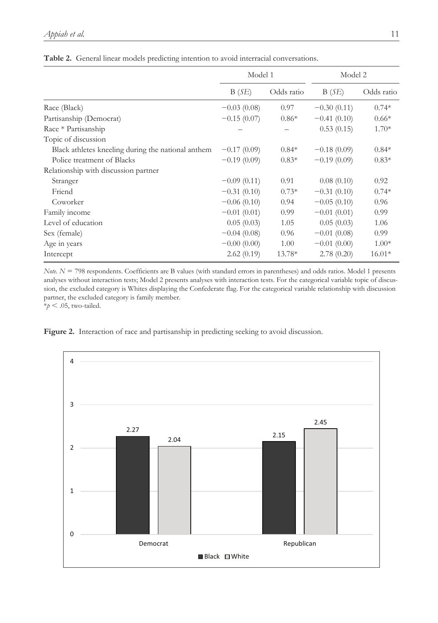|                                                    | Model 1       |            | Model 2       |            |
|----------------------------------------------------|---------------|------------|---------------|------------|
|                                                    | B(SE)         | Odds ratio | B(SE)         | Odds ratio |
| Race (Black)                                       | $-0.03(0.08)$ | 0.97       | $-0.30(0.11)$ | $0.74*$    |
| Partisanship (Democrat)                            | $-0.15(0.07)$ | $0.86*$    | $-0.41(0.10)$ | $0.66*$    |
| Race * Partisanship                                |               |            | 0.53(0.15)    | $1.70*$    |
| Topic of discussion                                |               |            |               |            |
| Black athletes kneeling during the national anthem | $-0.17(0.09)$ | $0.84*$    | $-0.18(0.09)$ | $0.84*$    |
| Police treatment of Blacks                         | $-0.19(0.09)$ | $0.83*$    | $-0.19(0.09)$ | $0.83*$    |
| Relationship with discussion partner               |               |            |               |            |
| Stranger                                           | $-0.09(0.11)$ | 0.91       | 0.08(0.10)    | 0.92       |
| Friend                                             | $-0.31(0.10)$ | $0.73*$    | $-0.31(0.10)$ | $0.74*$    |
| Coworker                                           | $-0.06(0.10)$ | 0.94       | $-0.05(0.10)$ | 0.96       |
| Family income                                      | $-0.01(0.01)$ | 0.99       | $-0.01(0.01)$ | 0.99       |
| Level of education                                 | 0.05(0.03)    | 1.05       | 0.05(0.03)    | 1.06       |
| Sex (female)                                       | $-0.04(0.08)$ | 0.96       | $-0.01(0.08)$ | 0.99       |
| Age in years                                       | $-0.00(0.00)$ | 1.00       | $-0.01(0.00)$ | $1.00*$    |
| Intercept                                          | 2.62(0.19)    | 13.78*     | 2.78(0.20)    | $16.01*$   |

**Table 2.** General linear models predicting intention to avoid interracial conversations.

*Note. N* = 798 respondents. Coefficients are B values (with standard errors in parentheses) and odds ratios. Model 1 presents analyses without interaction tests; Model 2 presents analyses with interaction tests. For the categorical variable topic of discussion, the excluded category is Whites displaying the Confederate flag. For the categorical variable relationship with discussion partner, the excluded category is family member.

 $*_{p}$  < .05, two-tailed.



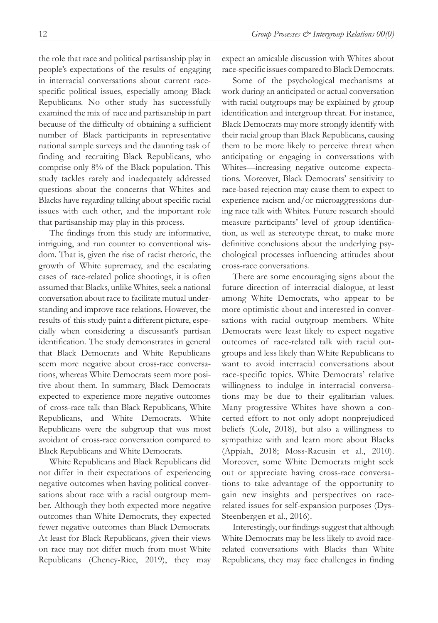the role that race and political partisanship play in people's expectations of the results of engaging in interracial conversations about current racespecific political issues, especially among Black Republicans. No other study has successfully examined the mix of race and partisanship in part because of the difficulty of obtaining a sufficient number of Black participants in representative national sample surveys and the daunting task of finding and recruiting Black Republicans, who comprise only 8% of the Black population. This study tackles rarely and inadequately addressed questions about the concerns that Whites and Blacks have regarding talking about specific racial issues with each other, and the important role that partisanship may play in this process.

The findings from this study are informative, intriguing, and run counter to conventional wisdom. That is, given the rise of racist rhetoric, the growth of White supremacy, and the escalating cases of race-related police shootings, it is often assumed that Blacks, unlike Whites, seek a national conversation about race to facilitate mutual understanding and improve race relations. However, the results of this study paint a different picture, especially when considering a discussant's partisan identification. The study demonstrates in general that Black Democrats and White Republicans seem more negative about cross-race conversations, whereas White Democrats seem more positive about them. In summary, Black Democrats expected to experience more negative outcomes of cross-race talk than Black Republicans, White Republicans, and White Democrats. White Republicans were the subgroup that was most avoidant of cross-race conversation compared to Black Republicans and White Democrats.

White Republicans and Black Republicans did not differ in their expectations of experiencing negative outcomes when having political conversations about race with a racial outgroup member. Although they both expected more negative outcomes than White Democrats, they expected fewer negative outcomes than Black Democrats. At least for Black Republicans, given their views on race may not differ much from most White Republicans (Cheney-Rice, 2019), they may

expect an amicable discussion with Whites about race-specific issues compared to Black Democrats.

Some of the psychological mechanisms at work during an anticipated or actual conversation with racial outgroups may be explained by group identification and intergroup threat. For instance, Black Democrats may more strongly identify with their racial group than Black Republicans, causing them to be more likely to perceive threat when anticipating or engaging in conversations with Whites—increasing negative outcome expectations. Moreover, Black Democrats' sensitivity to race-based rejection may cause them to expect to experience racism and/or microaggressions during race talk with Whites. Future research should measure participants' level of group identification, as well as stereotype threat, to make more definitive conclusions about the underlying psychological processes influencing attitudes about cross-race conversations.

There are some encouraging signs about the future direction of interracial dialogue, at least among White Democrats, who appear to be more optimistic about and interested in conversations with racial outgroup members. White Democrats were least likely to expect negative outcomes of race-related talk with racial outgroups and less likely than White Republicans to want to avoid interracial conversations about race-specific topics. White Democrats' relative willingness to indulge in interracial conversations may be due to their egalitarian values. Many progressive Whites have shown a concerted effort to not only adopt nonprejudiced beliefs (Cole, 2018), but also a willingness to sympathize with and learn more about Blacks (Appiah, 2018; Moss-Racusin et al., 2010). Moreover, some White Democrats might seek out or appreciate having cross-race conversations to take advantage of the opportunity to gain new insights and perspectives on racerelated issues for self-expansion purposes (Dys-Steenbergen et al., 2016).

Interestingly, our findings suggest that although White Democrats may be less likely to avoid racerelated conversations with Blacks than White Republicans, they may face challenges in finding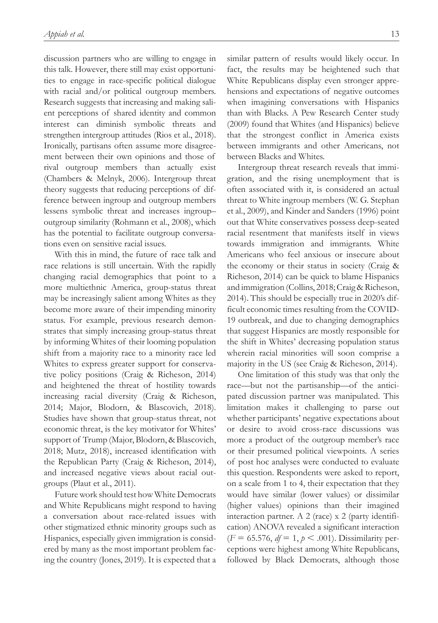discussion partners who are willing to engage in this talk. However, there still may exist opportunities to engage in race-specific political dialogue with racial and/or political outgroup members. Research suggests that increasing and making salient perceptions of shared identity and common interest can diminish symbolic threats and strengthen intergroup attitudes (Rios et al., 2018). Ironically, partisans often assume more disagreement between their own opinions and those of rival outgroup members than actually exist (Chambers & Melnyk, 2006). Intergroup threat theory suggests that reducing perceptions of difference between ingroup and outgroup members lessens symbolic threat and increases ingroup– outgroup similarity (Rohmann et al., 2008), which has the potential to facilitate outgroup conversations even on sensitive racial issues.

With this in mind, the future of race talk and race relations is still uncertain. With the rapidly changing racial demographics that point to a more multiethnic America, group-status threat may be increasingly salient among Whites as they become more aware of their impending minority status. For example, previous research demonstrates that simply increasing group-status threat by informing Whites of their looming population shift from a majority race to a minority race led Whites to express greater support for conservative policy positions (Craig & Richeson, 2014) and heightened the threat of hostility towards increasing racial diversity (Craig & Richeson, 2014; Major, Blodorn, & Blascovich, 2018). Studies have shown that group-status threat, not economic threat, is the key motivator for Whites' support of Trump (Major, Blodorn, & Blascovich, 2018; Mutz, 2018), increased identification with the Republican Party (Craig & Richeson, 2014), and increased negative views about racial outgroups (Plaut et al., 2011).

Future work should test how White Democrats and White Republicans might respond to having a conversation about race-related issues with other stigmatized ethnic minority groups such as Hispanics, especially given immigration is considered by many as the most important problem facing the country (Jones, 2019). It is expected that a

similar pattern of results would likely occur. In fact, the results may be heightened such that White Republicans display even stronger apprehensions and expectations of negative outcomes when imagining conversations with Hispanics than with Blacks. A Pew Research Center study (2009) found that Whites (and Hispanics) believe that the strongest conflict in America exists between immigrants and other Americans, not between Blacks and Whites.

Intergroup threat research reveals that immigration, and the rising unemployment that is often associated with it, is considered an actual threat to White ingroup members (W. G. Stephan et al., 2009), and Kinder and Sanders (1996) point out that White conservatives possess deep-seated racial resentment that manifests itself in views towards immigration and immigrants. White Americans who feel anxious or insecure about the economy or their status in society (Craig & Richeson, 2014) can be quick to blame Hispanics and immigration (Collins, 2018; Craig & Richeson, 2014). This should be especially true in 2020's difficult economic times resulting from the COVID-19 outbreak, and due to changing demographics that suggest Hispanics are mostly responsible for the shift in Whites' decreasing population status wherein racial minorities will soon comprise a majority in the US (see Craig & Richeson, 2014).

One limitation of this study was that only the race—but not the partisanship—of the anticipated discussion partner was manipulated. This limitation makes it challenging to parse out whether participants' negative expectations about or desire to avoid cross-race discussions was more a product of the outgroup member's race or their presumed political viewpoints. A series of post hoc analyses were conducted to evaluate this question. Respondents were asked to report, on a scale from 1 to 4, their expectation that they would have similar (lower values) or dissimilar (higher values) opinions than their imagined interaction partner. A 2 (race) x 2 (party identification) ANOVA revealed a significant interaction  $(F = 65.576, df = 1, p < .001)$ . Dissimilarity perceptions were highest among White Republicans, followed by Black Democrats, although those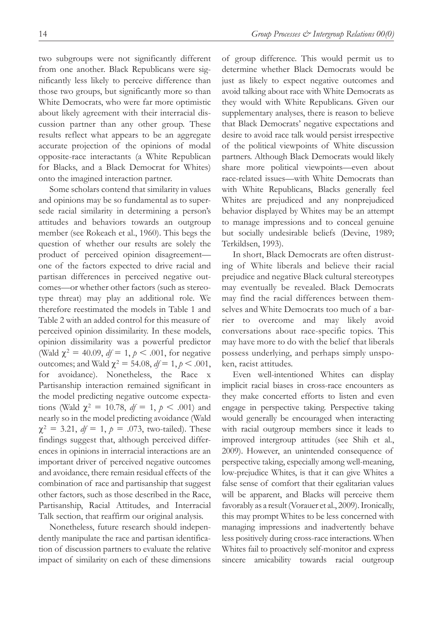two subgroups were not significantly different from one another. Black Republicans were significantly less likely to perceive difference than those two groups, but significantly more so than White Democrats, who were far more optimistic about likely agreement with their interracial discussion partner than any other group. These results reflect what appears to be an aggregate accurate projection of the opinions of modal opposite-race interactants (a White Republican for Blacks, and a Black Democrat for Whites) onto the imagined interaction partner.

Some scholars contend that similarity in values and opinions may be so fundamental as to supersede racial similarity in determining a person's attitudes and behaviors towards an outgroup member (see Rokeach et al., 1960). This begs the question of whether our results are solely the product of perceived opinion disagreement one of the factors expected to drive racial and partisan differences in perceived negative outcomes—or whether other factors (such as stereotype threat) may play an additional role. We therefore reestimated the models in Table 1 and Table 2 with an added control for this measure of perceived opinion dissimilarity. In these models, opinion dissimilarity was a powerful predictor (Wald  $\chi^2 = 40.09$ ,  $df = 1$ ,  $p < .001$ , for negative outcomes; and Wald  $χ² = 54.08, df = 1, p < .001$ , for avoidance). Nonetheless, the Race x Partisanship interaction remained significant in the model predicting negative outcome expectations (Wald  $\chi^2 = 10.78$ ,  $df = 1$ ,  $p < .001$ ) and nearly so in the model predicting avoidance (Wald  $\chi^2 = 3.21$ ,  $df = 1$ ,  $p = .073$ , two-tailed). These findings suggest that, although perceived differences in opinions in interracial interactions are an important driver of perceived negative outcomes and avoidance, there remain residual effects of the combination of race and partisanship that suggest other factors, such as those described in the Race, Partisanship, Racial Attitudes, and Interracial Talk section, that reaffirm our original analysis.

Nonetheless, future research should independently manipulate the race and partisan identification of discussion partners to evaluate the relative impact of similarity on each of these dimensions

of group difference. This would permit us to determine whether Black Democrats would be just as likely to expect negative outcomes and avoid talking about race with White Democrats as they would with White Republicans. Given our supplementary analyses, there is reason to believe that Black Democrats' negative expectations and desire to avoid race talk would persist irrespective of the political viewpoints of White discussion partners. Although Black Democrats would likely share more political viewpoints—even about race-related issues—with White Democrats than with White Republicans, Blacks generally feel Whites are prejudiced and any nonprejudiced behavior displayed by Whites may be an attempt to manage impressions and to conceal genuine but socially undesirable beliefs (Devine, 1989; Terkildsen, 1993).

In short, Black Democrats are often distrusting of White liberals and believe their racial prejudice and negative Black cultural stereotypes may eventually be revealed. Black Democrats may find the racial differences between themselves and White Democrats too much of a barrier to overcome and may likely avoid conversations about race-specific topics. This may have more to do with the belief that liberals possess underlying, and perhaps simply unspoken, racist attitudes.

Even well-intentioned Whites can display implicit racial biases in cross-race encounters as they make concerted efforts to listen and even engage in perspective taking. Perspective taking would generally be encouraged when interacting with racial outgroup members since it leads to improved intergroup attitudes (see Shih et al., 2009). However, an unintended consequence of perspective taking, especially among well-meaning, low-prejudice Whites, is that it can give Whites a false sense of comfort that their egalitarian values will be apparent, and Blacks will perceive them favorably as a result (Vorauer et al., 2009). Ironically, this may prompt Whites to be less concerned with managing impressions and inadvertently behave less positively during cross-race interactions. When Whites fail to proactively self-monitor and express sincere amicability towards racial outgroup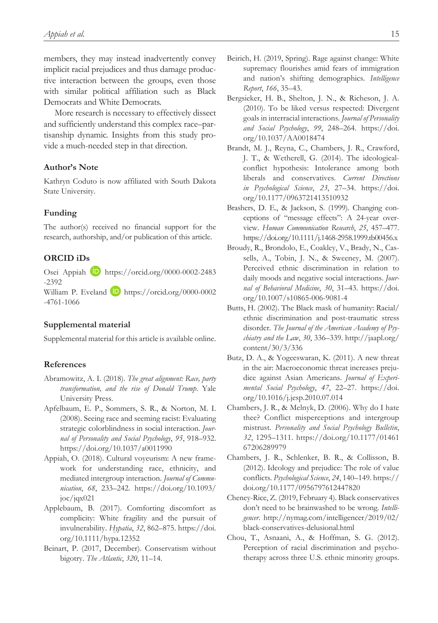members, they may instead inadvertently convey implicit racial prejudices and thus damage productive interaction between the groups, even those with similar political affiliation such as Black Democrats and White Democrats.

More research is necessary to effectively dissect and sufficiently understand this complex race–partisanship dynamic. Insights from this study provide a much-needed step in that direction.

#### **Author's Note**

Kathryn Coduto is now affiliated with South Dakota State University.

#### **Funding**

The author(s) received no financial support for the research, authorship, and/or publication of this article.

### **ORCID iDs**

Osei Appiah D [https://orcid.org/0000-0002-2483](https://orcid.org/0000-0002-2483-2392) [-2392](https://orcid.org/0000-0002-2483-2392)

William P. Eveland **D** [https://orcid.org/0000-0002](https://orcid.org/0000-0002-4761-1066) [-4761-1066](https://orcid.org/0000-0002-4761-1066)

### **Supplemental material**

Supplemental material for this article is available online.

#### **References**

- Abramowitz, A. I. (2018). *The great alignment: Race, party transformation, and the rise of Donald Trump*. Yale University Press.
- Apfelbaum, E. P., Sommers, S. R., & Norton, M. I. (2008). Seeing race and seeming racist: Evaluating strategic colorblindness in social interaction. *Journal of Personality and Social Psychology*, *95*, 918–932. <https://doi.org/10.1037/a0011990>
- Appiah, O. (2018). Cultural voyeurism: A new framework for understanding race, ethnicity, and mediated intergroup interaction. *Journal of Communication*, *68*, 233–242. [https://doi.org/10.1093/](https://doi.org/10.1093/joc/jqx021) [joc/jqx021](https://doi.org/10.1093/joc/jqx021)
- Applebaum, B. (2017). Comforting discomfort as complicity: White fragility and the pursuit of invulnerability. *Hypatia*, *32*, 862–875. [https://doi.](https://doi.org/10.1111/hypa.12352) [org/10.1111/hypa.12352](https://doi.org/10.1111/hypa.12352)
- Beinart, P. (2017, December). Conservatism without bigotry. *The Atlantic*, *320*, 11–14.
- Beirich, H. (2019, Spring). Rage against change: White supremacy flourishes amid fears of immigration and nation's shifting demographics. *Intelligence Report*, *166*, 35–43.
- Bergsieker, H. B., Shelton, J. N., & Richeson, J. A. (2010). To be liked versus respected: Divergent goals in interracial interactions. *Journal of Personality and Social Psychology*, *99*, 248–264. [https://doi.](https://doi.org/10.1037/AA0018474) [org/10.1037/AA0018474](https://doi.org/10.1037/AA0018474)
- Brandt, M. J., Reyna, C., Chambers, J. R., Crawford, J. T., & Wetherell, G. (2014). The ideologicalconflict hypothesis: Intolerance among both liberals and conservatives. *Current Directions in Psychological Science*, *23*, 27–34. [https://doi.](https://doi.org/10.1177/0963721413510932) [org/10.1177/0963721413510932](https://doi.org/10.1177/0963721413510932)
- Brashers, D. E., & Jackson, S. (1999). Changing conceptions of "message effects": A 24-year overview. *Human Communication Research*, *25*, 457–477. <https://doi.org/10.1111/j.1468-2958.1999.tb00456.x>
- Broudy, R., Brondolo, E., Coakley, V., Brady, N., Cassells, A., Tobin, J. N., & Sweeney, M. (2007). Perceived ethnic discrimination in relation to daily moods and negative social interactions. *Journal of Behavioral Medicine*, *30*, 31–43. [https://doi.](https://doi.org/10.1007/s10865-006-9081-4) [org/10.1007/s10865-006-9081-4](https://doi.org/10.1007/s10865-006-9081-4)
- Butts, H. (2002). The Black mask of humanity: Racial/ ethnic discrimination and post-traumatic stress disorder. *The Journal of the American Academy of Psychiatry and the Law*, *30*, 336–339. [http://jaapl.org/](http://jaapl.org/content/30/3/336) [content/30/3/336](http://jaapl.org/content/30/3/336)
- Butz, D. A., & Yogeeswaran, K. (2011). A new threat in the air: Macroeconomic threat increases prejudice against Asian Americans. *Journal of Experimental Social Psychology*, *47*, 22–27. [https://doi.](https://doi.org/10.1016/j.jesp.2010.07.014) [org/10.1016/j.jesp.2010.07.014](https://doi.org/10.1016/j.jesp.2010.07.014)
- Chambers, J. R., & Melnyk, D. (2006). Why do I hate thee? Conflict misperceptions and intergroup mistrust. *Personality and Social Psychology Bulletin*, *32*, 1295–1311. [https://doi.org/10.1177/01461](https://doi.org/10.1177/0146167206289979) [67206289979](https://doi.org/10.1177/0146167206289979)
- Chambers, J. R., Schlenker, B. R., & Collisson, B. (2012). Ideology and prejudice: The role of value conflicts. *Psychological Science*, *24*, 140–149. [https://](https://doi.org/10.1177/0956797612447820) [doi.org/10.1177/0956797612447820](https://doi.org/10.1177/0956797612447820)
- Cheney-Rice, Z. (2019, February 4). Black conservatives don't need to be brainwashed to be wrong. *Intelligencer*. [http://nymag.com/intelligencer/2019/02/](http://nymag.com/intelligencer/2019/02/black-conservatives-delusional.html) [black-conservatives-delusional.html](http://nymag.com/intelligencer/2019/02/black-conservatives-delusional.html)
- Chou, T., Asnaani, A., & Hoffman, S. G. (2012). Perception of racial discrimination and psychotherapy across three U.S. ethnic minority groups.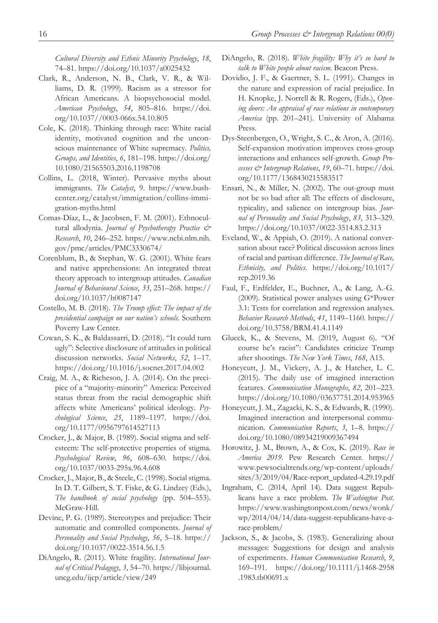*Cultural Diversity and Ethnic Minority Psychology*, *18*, 74–81.<https://doi.org/10.1037/a0025432>

- Clark, R., Anderson, N. B., Clark, V. R., & Williams, D. R. (1999). Racism as a stressor for African Americans. A biopsychosocial model. *American Psychology*, *54*, 805–816. [https://doi.](https://doi.org/10.1037//0003-066x.54.10.805) [org/10.1037//0003-066x.54.10.805](https://doi.org/10.1037//0003-066x.54.10.805)
- Cole, K. (2018). Thinking through race: White racial identity, motivated cognition and the unconscious maintenance of White supremacy. *Politics, Groups, and Identities*, *6*, 181–198. [https://doi.org/](https://doi.org/10.1080/21565503.2016.1198708) [10.1080/21565503.2016.1198708](https://doi.org/10.1080/21565503.2016.1198708)
- Collins, L. (2018, Winter). Pervasive myths about immigrants. *The Catalyst*, 9. [https://www.bush](https://www.bushcenter.org/catalyst/immigration/collins-immigration-myths.html)[center.org/catalyst/immigration/collins-immi](https://www.bushcenter.org/catalyst/immigration/collins-immigration-myths.html)[gration-myths.html](https://www.bushcenter.org/catalyst/immigration/collins-immigration-myths.html)
- Comas-Díaz, L., & Jacobsen, F. M. (2001). Ethnocultural allodynia. *Journal of Psychotherapy Practice & Research*, *10*, 246–252. [https://www.ncbi.nlm.nih.](https://www.ncbi.nlm.nih.gov/pmc/articles/PMC3330674/) [gov/pmc/articles/PMC3330674/](https://www.ncbi.nlm.nih.gov/pmc/articles/PMC3330674/)
- Corenblum, B., & Stephan, W. G. (2001). White fears and native apprehensions: An integrated threat theory approach to intergroup attitudes. *Canadian Journal of Behavioural Science*, *33*, 251–268. [https://](https://doi.org/10.1037/h0087147) [doi.org/10.1037/h0087147](https://doi.org/10.1037/h0087147)
- Costello, M. B. (2018). *The Trump effect: The impact of the presidential campaign on our nation's schools*. Southern Poverty Law Center.
- Cowan, S. K., & Baldassarri, D. (2018). "It could turn ugly": Selective disclosure of attitudes in political discussion networks. *Social Networks*, *52*, 1–17. <https://doi.org/10.1016/j.socnet.2017.04.002>
- Craig, M. A., & Richeson, J. A. (2014). On the precipice of a "majority-minority" America: Perceived status threat from the racial demographic shift affects white Americans' political ideology. *Psychological Science*, *25*, 1189–1197. [https://doi.](https://doi.org/10.1177/0956797614527113) [org/10.1177/0956797614527113](https://doi.org/10.1177/0956797614527113)
- Crocker, J., & Major, B. (1989). Social stigma and selfesteem: The self-protective properties of stigma. *Psychological Review*, *96*, 608–630. [https://doi.](https://doi.org/10.1037/0033-295x.96.4.608) [org/10.1037/0033-295x.96.4.608](https://doi.org/10.1037/0033-295x.96.4.608)
- Crocker, J., Major, B., & Steele, C. (1998). Social stigma. In D. T. Gilbert, S. T. Fiske, & G. Lindzey (Eds.), *The handbook of social psychology* (pp. 504–553). McGraw-Hill.
- Devine, P. G. (1989). Stereotypes and prejudice: Their automatic and controlled components. *Journal of Personality and Social Psychology*, *56*, 5–18. [https://](https://doi.org/10.1037/0022-3514.56.1.5) [doi.org/10.1037/0022-3514.56.1.5](https://doi.org/10.1037/0022-3514.56.1.5)
- DiAngelo, R. (2011). White fragility. *International Journal of Critical Pedagogy*, *3*, 54–70. [https://libjournal.](https://libjournal.uncg.edu/ijcp/article/view/249) [uncg.edu/ijcp/article/view/249](https://libjournal.uncg.edu/ijcp/article/view/249)
- DiAngelo, R. (2018). *White fragility: Why it's so hard to talk to White people about racism*. Beacon Press.
- Dovidio, J. F., & Gaertner, S. L. (1991). Changes in the nature and expression of racial prejudice. In H. Knopke, J. Norrell & R. Rogers, (Eds.), *Opening doors: An appraisal of race relations in contemporary America* (pp. 201–241). University of Alabama Press.
- Dys-Steenbergen, O., Wright, S. C., & Aron, A. (2016). Self-expansion motivation improves cross-group interactions and enhances self-growth. *Group Processes & Intergroup Relations*, *19*, 60–71. [https://doi.](https://doi.org/10.1177/1368430215583517) [org/10.1177/1368430215583517](https://doi.org/10.1177/1368430215583517)
- Ensari, N., & Miller, N. (2002). The out-group must not be so bad after all: The effects of disclosure, typicality, and salience on intergroup bias. *Journal of Personality and Social Psychology*, *83*, 313–329. <https://doi.org/10.1037/0022-3514.83.2.313>
- Eveland, W., & Appiah, O. (2019). A national conversation about race? Political discussion across lines of racial and partisan difference. *The Journal of Race, Ethnicity, and Politics*. [https://doi.org/10.1017/](https://doi.org/10.1017/rep.2019.36) [rep.2019.36](https://doi.org/10.1017/rep.2019.36)
- Faul, F., Erdfelder, E., Buchner, A., & Lang, A.-G. (2009). Statistical power analyses using G\*Power 3.1: Tests for correlation and regression analyses. *Behavior Research Methods*, *41*, 1149–1160. [https://](https://doi.org/10.3758/BRM.41.4.1149) [doi.org/10.3758/BRM.41.4.1149](https://doi.org/10.3758/BRM.41.4.1149)
- Glueck, K., & Stevens, M. (2019, August 6). "Of course he's racist": Candidates criticize Trump after shootings. *The New York Times*, *168*, A15.
- Honeycutt, J. M., Vickery, A. J., & Hatcher, L. C. (2015). The daily use of imagined interaction features. *Communication Monographs*, *82*, 201–223. <https://doi.org/10.1080/03637751.2014.953965>
- Honeycutt, J. M., Zagacki, K. S., & Edwards, R. (1990). Imagined interaction and interpersonal communication. *Communication Reports*, *3*, 1–8. [https://](https://doi.org/10.1080/08934219009367494) [doi.org/10.1080/08934219009367494](https://doi.org/10.1080/08934219009367494)
- Horowitz, J. M., Brown, A., & Cox, K. (2019). *Race in America 2019*. Pew Research Center. [https://](https://www.pewsocialtrends.org/wp-content/uploads/sites/3/2019/04/Race-report_updated-4.29.19.pdf) [www.pewsocialtrends.org/wp-content/uploads/](https://www.pewsocialtrends.org/wp-content/uploads/sites/3/2019/04/Race-report_updated-4.29.19.pdf) [sites/3/2019/04/Race-report\\_updated-4.29.19.pdf](https://www.pewsocialtrends.org/wp-content/uploads/sites/3/2019/04/Race-report_updated-4.29.19.pdf)
- Ingraham, C. (2014, April 14). Data suggest Republicans have a race problem. *The Washington Post*. [https://www.washingtonpost.com/news/wonk/](https://www.washingtonpost.com/news/wonk/wp/2014/04/14/data-suggest-republicans-have-a-race-problem/) [wp/2014/04/14/data-suggest-republicans-have-a](https://www.washingtonpost.com/news/wonk/wp/2014/04/14/data-suggest-republicans-have-a-race-problem/)[race-problem/](https://www.washingtonpost.com/news/wonk/wp/2014/04/14/data-suggest-republicans-have-a-race-problem/)
- Jackson, S., & Jacobs, S. (1983). Generalizing about messages: Suggestions for design and analysis of experiments. *Human Communication Research*, *9*, 169–191. [https://doi.org/10.1111/j.1468-2958](https://doi.org/10.1111/j.1468-2958.1983.tb00691.x) [.1983.tb00691.x](https://doi.org/10.1111/j.1468-2958.1983.tb00691.x)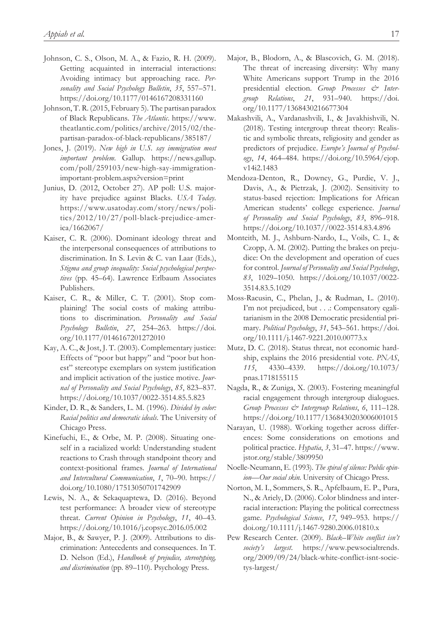- Johnson, C. S., Olson, M. A., & Fazio, R. H. (2009). Getting acquainted in interracial interactions: Avoiding intimacy but approaching race. *Personality and Social Psychology Bulletin*, *35*, 557–571. <https://doi.org/10.1177/0146167208331160>
- Johnson, T. R. (2015, February 5). The partisan paradox of Black Republicans. *The Atlantic*. [https://www.](https://www.theatlantic.com/politics/archive/2015/02/the-partisan-paradox-of-black-republicans/385187/) [theatlantic.com/politics/archive/2015/02/the](https://www.theatlantic.com/politics/archive/2015/02/the-partisan-paradox-of-black-republicans/385187/)[partisan-paradox-of-black-republicans/385187/](https://www.theatlantic.com/politics/archive/2015/02/the-partisan-paradox-of-black-republicans/385187/)
- Jones, J. (2019). *New high in U.S. say immigration most important problem*. Gallup. [https://news.gallup.](https://news.gallup.com/poll/259103/new-high-say-immigration-important-problem.aspx?version=print) [com/poll/259103/new-high-say-immigration](https://news.gallup.com/poll/259103/new-high-say-immigration-important-problem.aspx?version=print)[important-problem.aspx?version=print](https://news.gallup.com/poll/259103/new-high-say-immigration-important-problem.aspx?version=print)
- Junius, D. (2012, October 27). AP poll: U.S. majority have prejudice against Blacks. *USA Today*. [https://www.usatoday.com/story/news/poli](https://www.usatoday.com/story/news/politics/2012/10/27/poll-black-prejudice-america/1662067/)[tics/2012/10/27/poll-black-prejudice-amer](https://www.usatoday.com/story/news/politics/2012/10/27/poll-black-prejudice-america/1662067/)[ica/1662067/](https://www.usatoday.com/story/news/politics/2012/10/27/poll-black-prejudice-america/1662067/)
- Kaiser, C. R. (2006). Dominant ideology threat and the interpersonal consequences of attributions to discrimination. In S. Levin & C. van Laar (Eds.), *Stigma and group inequality: Social psychological perspectives* (pp. 45–64). Lawrence Erlbaum Associates Publishers.
- Kaiser, C. R., & Miller, C. T. (2001). Stop complaining! The social costs of making attributions to discrimination. *Personality and Social Psychology Bulletin*, *27*, 254–263. [https://doi.](https://doi.org/10.1177/0146167201272010) [org/10.1177/0146167201272010](https://doi.org/10.1177/0146167201272010)
- Kay, A. C., & Jost, J. T. (2003). Complementary justice: Effects of "poor but happy" and "poor but honest" stereotype exemplars on system justification and implicit activation of the justice motive. *Journal of Personality and Social Psychology*, *85*, 823–837. <https://doi.org/10.1037/0022-3514.85.5.823>
- Kinder, D. R., & Sanders, L. M. (1996). *Divided by color: Racial politics and democratic ideals*. The University of Chicago Press.
- Kinefuchi, E., & Orbe, M. P. (2008). Situating oneself in a racialized world: Understanding student reactions to Crash through standpoint theory and context-positional frames. *Journal of International and Intercultural Communication*, *1*, 70–90. [https://](https://doi.org/10.1080/17513050701742909) [doi.org/10.1080/17513050701742909](https://doi.org/10.1080/17513050701742909)
- Lewis, N. A., & Sekaquaptewa, D. (2016). Beyond test performance: A broader view of stereotype threat. *Current Opinion in Psychology*, *11*, 40–43. <https://doi.org/10.1016/j.copsyc.2016.05.002>
- Major, B., & Sawyer, P. J. (2009). Attributions to discrimination: Antecedents and consequences. In T. D. Nelson (Ed.), *Handbook of prejudice, stereotyping, and discrimination* (pp. 89–110). Psychology Press.
- Major, B., Blodorn, A., & Blascovich, G. M. (2018). The threat of increasing diversity: Why many White Americans support Trump in the 2016 presidential election. *Group Processes & Intergroup Relations*, *21*, 931–940. [https://doi.](https://doi.org/10.1177/1368430216677304) [org/10.1177/1368430216677304](https://doi.org/10.1177/1368430216677304)
- Makashvili, A., Vardanashvili, I., & Javakhishvili, N. (2018). Testing intergroup threat theory: Realistic and symbolic threats, religiosity and gender as predictors of prejudice. *Europe's Journal of Psychology*, *14*, 464–484. [https://doi.org/10.5964/ejop.](https://doi.org/10.5964/ejop.v14i2.1483) [v14i2.1483](https://doi.org/10.5964/ejop.v14i2.1483)
- Mendoza-Denton, R., Downey, G., Purdie, V. J., Davis, A., & Pietrzak, J. (2002). Sensitivity to status-based rejection: Implications for African American students' college experience. *Journal of Personality and Social Psychology*, *83*, 896–918. <https://doi.org/10.1037//0022-3514.83.4.896>
- Monteith, M. J., Ashburn-Nardo, L., Voils, C. I., & Czopp, A. M. (2002). Putting the brakes on prejudice: On the development and operation of cues for control. *Journal of Personality and Social Psychology*, *83*, 1029–1050. [https://doi.org/10.1037/0022-](https://doi.org/10.1037/0022-3514.83.5.1029) [3514.83.5.1029](https://doi.org/10.1037/0022-3514.83.5.1029)
- Moss-Racusin, C., Phelan, J., & Rudman, L. (2010). I'm not prejudiced, but . . .: Compensatory egalitarianism in the 2008 Democratic presidential primary. *Political Psychology*, *31*, 543–561. [https://doi.](https://doi.org/10.1111/j.1467-9221.2010.00773.x) [org/10.1111/j.1467-9221.2010.00773.x](https://doi.org/10.1111/j.1467-9221.2010.00773.x)
- Mutz, D. C. (2018). Status threat, not economic hardship, explains the 2016 presidential vote. *PNAS*, *115*, 4330–4339. [https://doi.org/10.1073/](https://doi.org/10.1073/pnas.1718155115) [pnas.1718155115](https://doi.org/10.1073/pnas.1718155115)
- Nagda, R., & Zuniga, X. (2003). Fostering meaningful racial engagement through intergroup dialogues. *Group Processes & Intergroup Relations*, *6*, 111–128. <https://doi.org/10.1177/1368430203006001015>
- Narayan, U. (1988). Working together across differences: Some considerations on emotions and political practice. *Hypatia*, *3*, 31–47. [https://www.](https://www.jstor.org/stable/3809950) [jstor.org/stable/3809950](https://www.jstor.org/stable/3809950)
- Noelle-Neumann, E. (1993). *The spiral of silence: Public opinion—Our social skin*. University of Chicago Press.
- Norton, M. I., Sommers, S. R., Apfelbaum, E. P., Pura, N., & Ariely, D. (2006). Color blindness and interracial interaction: Playing the political correctness game. *Psychological Science*, *17*, 949–953. [https://](https://doi.org/10.1111/j.1467-9280.2006.01810.x) [doi.org/10.1111/j.1467-9280.2006.01810.x](https://doi.org/10.1111/j.1467-9280.2006.01810.x)
- Pew Research Center. (2009). *Black–White conflict isn't society's largest*. [https://www.pewsocialtrends.](https://www.pewsocialtrends.org/2009/09/24/black-white-conflict-isnt-societys-largest/) [org/2009/09/24/black-white-conflict-isnt-socie](https://www.pewsocialtrends.org/2009/09/24/black-white-conflict-isnt-societys-largest/)[tys-largest/](https://www.pewsocialtrends.org/2009/09/24/black-white-conflict-isnt-societys-largest/)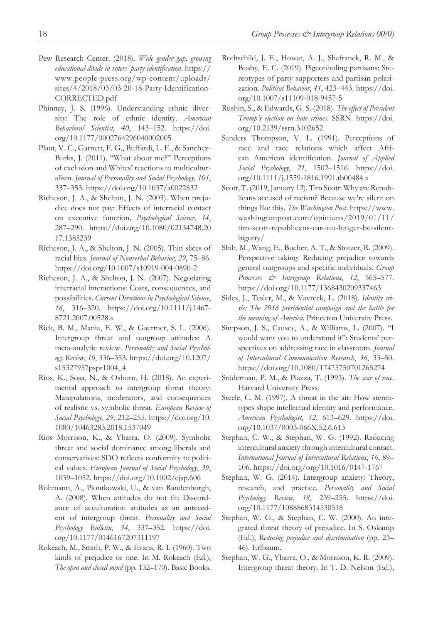- Pew Research Center. (2018). *Wide gender gap, growing educational divide in voters' party identification*. [https://](https://www.people-press.org/wp-content/uploads/sites/4/2018/03/03-20-18-Party-Identification-CORRECTED.pdf) [www.people-press.org/wp-content/uploads/](https://www.people-press.org/wp-content/uploads/sites/4/2018/03/03-20-18-Party-Identification-CORRECTED.pdf) [sites/4/2018/03/03-20-18-Party-Identification-](https://www.people-press.org/wp-content/uploads/sites/4/2018/03/03-20-18-Party-Identification-CORRECTED.pdf)[CORRECTED.pdf](https://www.people-press.org/wp-content/uploads/sites/4/2018/03/03-20-18-Party-Identification-CORRECTED.pdf)
- Phinney, J. S. (1996). Understanding ethnic diversity: The role of ethnic identity. *American Behavioral Scientist*, *40*, 143–152. [https://doi.](https://doi.org/10.1177/0002764296040002005) [org/10.1177/0002764296040002005](https://doi.org/10.1177/0002764296040002005)
- Plaut, V. C., Garnett, F. G., Buffardi, L. E., & Sanchez-Burks, J. (2011). "What about me?" Perceptions of exclusion and Whites' reactions to multiculturalism. *Journal of Personality and Social Psychology*, *101*, 337–353. <https://doi.org/10.1037/a0022832>
- Richeson, J. A., & Shelton, J. N. (2003). When prejudice does not pay: Effects of interracial contact on executive function. *Psychological Science*, *14*, 287–290. [https://doi.org/10.1080/02134748.20](https://doi.org/10.1080/02134748.2017.1385239) [17.1385239](https://doi.org/10.1080/02134748.2017.1385239)
- Richeson, J. A., & Shelton, J. N. (2005). Thin slices of racial bias. *Journal of Nonverbal Behavior*, *29*, 75–86. <https://doi.org/10.1007/s10919-004-0890-2>
- Richeson, J. A., & Shelton, J. N. (2007). Negotiating interracial interactions: Costs, consequences, and possibilities. *Current Directions in Psychological Science*, *16*, 316–320. [https://doi.org/10.1111/j.1467-](https://doi.org/10.1111/j.1467-8721.2007.00528.x) [8721.2007.00528.x](https://doi.org/10.1111/j.1467-8721.2007.00528.x)
- Riek, B. M., Mania, E. W., & Gaertner, S. L. (2006). Intergroup threat and outgroup attitudes: A meta-analytic review. *Personality and Social Psychology Review*, *10*, 336–353. [https://doi.org/10.1207/](https://doi.org/10.1207/s15327957pspr1004_4) [s15327957pspr1004\\_4](https://doi.org/10.1207/s15327957pspr1004_4)
- Rios, K., Sosa, N., & Osborn, H. (2018). An experimental approach to intergroup threat theory: Manipulations, moderators, and consequences of realistic vs. symbolic threat. *European Review of Social Psychology*, *29*, 212–255. [https://doi.org/10.](https://doi.org/10.1080/10463283.2018.1537049) [1080/10463283.2018.1537049](https://doi.org/10.1080/10463283.2018.1537049)
- Rios Morrison, K., & Ybarra, O. (2009). Symbolic threat and social dominance among liberals and conservatives: SDO reflects conformity to political values. *European Journal of Social Psychology*, *39*, 1039–1052. <https://doi.org/10.1002/ejsp.606>
- Rohmann, A., Piontkowski, U., & van Randenborgh, A. (2008). When attitudes do not fit: Discordance of acculturation attitudes as an antecedent of intergroup threat. *Personality and Social Psychology Bulletin*, *34*, 337–352. [https://doi.](https://doi.org/10.1177/0146167207311197) [org/10.1177/0146167207311197](https://doi.org/10.1177/0146167207311197)
- Rokeach, M., Smith, P. W., & Evans, R. I. (1960). Two kinds of prejudice or one. In M. Rokeach (Ed.), *The open and closed mind* (pp. 132–170). Basic Books.
- Rothschild, J. E., Howat, A. J., Shafranek, R. M., & Busby, E. C. (2019). Pigeonholing partisans: Stereotypes of party supporters and partisan polarization. *Political Behavior*, *41*, 423–443. [https://doi.](https://doi.org/10.1007/s11109-018-9457-5) [org/10.1007/s11109-018-9457-5](https://doi.org/10.1007/s11109-018-9457-5)
- Rushin, S., & Edwards, G. S. (2018). *The effect of President Trump's election on hate crimes*. SSRN. [https://doi.](https://doi.org/10.2139/ssrn.3102652) [org/10.2139/ssrn.3102652](https://doi.org/10.2139/ssrn.3102652)
- Sanders Thompson, V. L. (1991). Perceptions of race and race relations which affect African American identification. *Journal of Applied Social Psychology*, *21*, 1502–1516. [https://doi.](https://doi.org/10.1111/j.1559-1816.1991.tb00484.x) [org/10.1111/j.1559-1816.1991.tb00484.x](https://doi.org/10.1111/j.1559-1816.1991.tb00484.x)
- Scott, T. (2019, January 12). Tim Scott: Why are Republicans accused of racism? Because we're silent on things like this. *The Washington Post*. [https://www.](https://www.washingtonpost.com/opinions/2019/01/11/tim-scott-republicans-can-no-longer-be-silent-bigotry/) [washingtonpost.com/opinions/2019/01/11/](https://www.washingtonpost.com/opinions/2019/01/11/tim-scott-republicans-can-no-longer-be-silent-bigotry/) [tim-scott-republicans-can-no-longer-be-silent](https://www.washingtonpost.com/opinions/2019/01/11/tim-scott-republicans-can-no-longer-be-silent-bigotry/)[bigotry/](https://www.washingtonpost.com/opinions/2019/01/11/tim-scott-republicans-can-no-longer-be-silent-bigotry/)
- Shih, M., Wang, E., Bucher, A. T., & Stotzer, R. (2009). Perspective taking: Reducing prejudice towards general outgroups and specific individuals. *Group Processes & Intergroup Relations*, *12*, 565–577. <https://doi.org/10.1177/1368430209337463>
- Sides, J., Tesler, M., & Vavreck, L. (2018). *Identity crisis: The 2016 presidential campaign and the battle for the meaning of America*. Princeton University Press.
- Simpson, J. S., Causey, A., & Williams, L. (2007). "I would want you to understand it": Students' perspectives on addressing race in classroom. *Journal of Intercultural Communication Research*, *36*, 33–50. <https://doi.org/10.1080/17475750701265274>
- Sniderman, P. M., & Piazza, T. (1993). *The scar of race*. Harvard University Press.
- Steele, C. M. (1997). A threat in the air: How stereotypes shape intellectual identity and performance. *American Psychologist*, *52*, 613–629. [https://doi.](https://doi.org/10.1037/0003-066X.52.6.613) [org/10.1037/0003-066X.52.6.613](https://doi.org/10.1037/0003-066X.52.6.613)
- Stephan, C. W., & Stephan, W. G. (1992). Reducing intercultural anxiety through intercultural contact. *International Journal of Intercultural Relations*, *16*, 89– 106. <https://doi.org/org/10.1016/0147-1767>
- Stephan, W. G. (2014). Intergroup anxiety: Theory, research, and practice. *Personality and Social Psychology Review*, *18*, 239–255. [https://doi.](https://doi.org/10.1177/1088868314530518) [org/10.1177/1088868314530518](https://doi.org/10.1177/1088868314530518)
- Stephan, W. G., & Stephan, C. W. (2000). An integrated threat theory of prejudice. In S. Oskamp (Ed.), *Reducing prejudice and discrimination* (pp. 23– 46). Erlbaum.
- Stephan, W. G., Ybarra, O., & Morrison, K. R. (2009). Intergroup threat theory. In T. D. Nelson (Ed.),